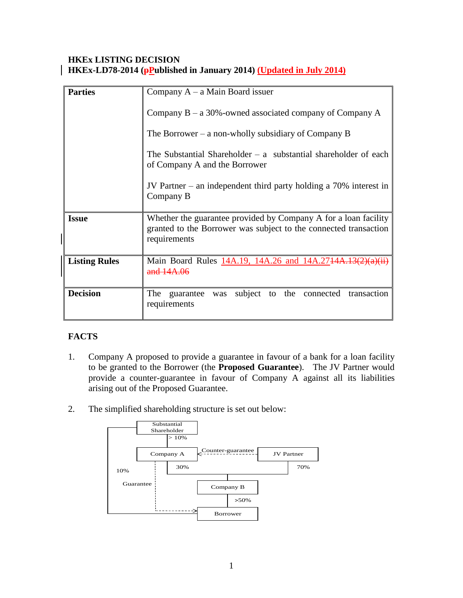### **HKEx LISTING DECISION HKEx-LD78-2014 (pPublished in January 2014) (Updated in July 2014)**

| <b>Parties</b>       | Company $A - a$ Main Board issuer                                                                                                                   |
|----------------------|-----------------------------------------------------------------------------------------------------------------------------------------------------|
|                      | Company $B - a 30\%$ -owned associated company of Company A                                                                                         |
|                      | The Borrower – a non-wholly subsidiary of Company B                                                                                                 |
|                      | The Substantial Shareholder $-$ a substantial shareholder of each<br>of Company A and the Borrower                                                  |
|                      | JV Partner – an independent third party holding a $70\%$ interest in<br>Company B                                                                   |
| <b>Issue</b>         | Whether the guarantee provided by Company A for a loan facility<br>granted to the Borrower was subject to the connected transaction<br>requirements |
| <b>Listing Rules</b> | Main Board Rules 14A.19, 14A.26 and 14A.2714A.13(2)<br>and 14A                                                                                      |
| <b>Decision</b>      | subject to the connected<br>transaction<br>The guarantee<br>was<br>requirements                                                                     |

# **FACTS**

- 1. Company A proposed to provide a guarantee in favour of a bank for a loan facility to be granted to the Borrower (the **Proposed Guarantee**). The JV Partner would provide a counter-guarantee in favour of Company A against all its liabilities arising out of the Proposed Guarantee.
- 2. The simplified shareholding structure is set out below:

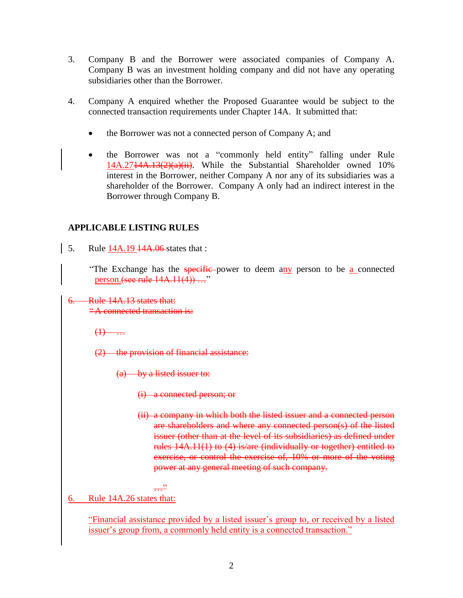- 3. Company B and the Borrower were associated companies of Company A. Company B was an investment holding company and did not have any operating subsidiaries other than the Borrower.
- 4. Company A enquired whether the Proposed Guarantee would be subject to the connected transaction requirements under Chapter 14A. It submitted that:
	- the Borrower was not a connected person of Company A; and
	- the Borrower was not a "commonly held entity" falling under Rule 14A.2714A.13(2)(a)(ii). While the Substantial Shareholder owned 10% interest in the Borrower, neither Company A nor any of its subsidiaries was a shareholder of the Borrower. Company A only had an indirect interest in the Borrower through Company B.

#### **APPLICABLE LISTING RULES**

5. Rule 14A.19 14A.06 states that :

"The Exchange has the specific power to deem any person to be a connected person. (see rule  $14A.11(4)$ ) ..."

6. Rule 14A.13 states that: " A connected transaction is:

 $\bigoplus$ 

(2) the provision of financial assistance:

 $(a)$  by a listed issuer to:

(i) a connected person; or

(ii) a company in which both the listed issuer and a connected person are shareholders and where any connected person(s) of the listed issuer (other than at the level of its subsidiaries) as defined under rules 14A.11(1) to (4) is/are (individually or together) entitled to exercise, or control the exercise of, 10% or more of the voting power at any general meeting of such company.

$$
\frac{22}{\cdots}
$$

6. Rule 14A.26 states that:

"Financial assistance provided by a listed issuer's group to, or received by a listed issuer's group from, a commonly held entity is a connected transaction."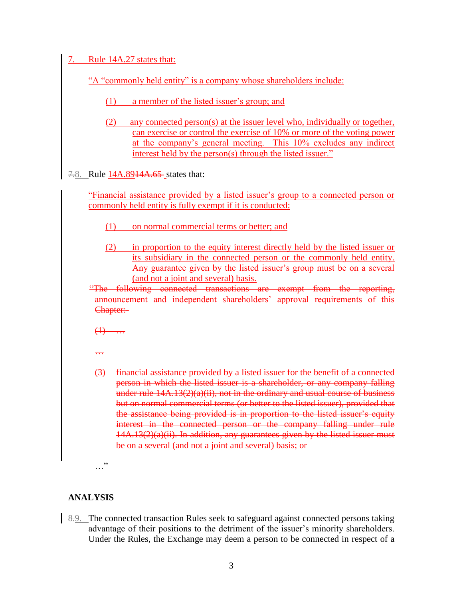| Rule 14A.27 states that:<br>7.                                                                                                                                                                                                                                                                                                                                                                                                                                                                                                                                                                                                            |
|-------------------------------------------------------------------------------------------------------------------------------------------------------------------------------------------------------------------------------------------------------------------------------------------------------------------------------------------------------------------------------------------------------------------------------------------------------------------------------------------------------------------------------------------------------------------------------------------------------------------------------------------|
|                                                                                                                                                                                                                                                                                                                                                                                                                                                                                                                                                                                                                                           |
| "A "commonly held entity" is a company whose shareholders include:                                                                                                                                                                                                                                                                                                                                                                                                                                                                                                                                                                        |
| (1)<br>a member of the listed issuer's group; and                                                                                                                                                                                                                                                                                                                                                                                                                                                                                                                                                                                         |
| (2)<br>any connected person(s) at the issuer level who, individually or together,<br>can exercise or control the exercise of 10% or more of the voting power<br>at the company's general meeting. This 10% excludes any indirect<br>interest held by the person(s) through the listed issuer."                                                                                                                                                                                                                                                                                                                                            |
| 7.8. Rule 14A.8914A.65 states that:                                                                                                                                                                                                                                                                                                                                                                                                                                                                                                                                                                                                       |
| "Financial assistance provided by a listed issuer's group to a connected person or<br>commonly held entity is fully exempt if it is conducted:                                                                                                                                                                                                                                                                                                                                                                                                                                                                                            |
| (1)<br>on normal commercial terms or better; and                                                                                                                                                                                                                                                                                                                                                                                                                                                                                                                                                                                          |
| (2)<br>in proportion to the equity interest directly held by the listed issuer or<br>its subsidiary in the connected person or the commonly held entity.<br><u>Any guarantee given by the listed issuer's group must be on a several</u><br>(and not a joint and several) basis.<br>"The following connected transactions are exempt from the reporting,                                                                                                                                                                                                                                                                                  |
| announcement and independent shareholders' approval requirements of this<br>Chapter:-                                                                                                                                                                                                                                                                                                                                                                                                                                                                                                                                                     |
| $\left(\frac{1}{1}\right)$                                                                                                                                                                                                                                                                                                                                                                                                                                                                                                                                                                                                                |
| $\overline{\cdots}$                                                                                                                                                                                                                                                                                                                                                                                                                                                                                                                                                                                                                       |
| (3) financial assistance provided by a listed issuer for the benefit of a connected<br>person in which the listed issuer is a shareholder, or any company falling<br>under rule $14A.13(2)(a)(ii)$ , not in the ordinary and usual course of business<br>but on normal commercial terms (or better to the listed issuer), provided that<br>the assistance being provided is in proportion to the listed issuer's equity<br>interest in the connected person or the company falling under rule<br>14A.13(2)(a)(ii). In addition, any guarantees given by the listed issuer must<br>be on a several (and not a joint and several) basis; or |

 $\cdots$ "

# **ANALYSIS**

8.9. The connected transaction Rules seek to safeguard against connected persons taking advantage of their positions to the detriment of the issuer's minority shareholders. Under the Rules, the Exchange may deem a person to be connected in respect of a